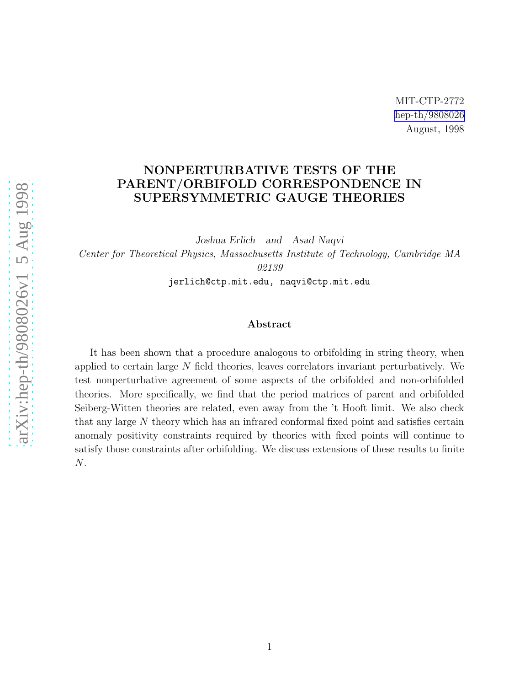### NONPERTURBATIVE TESTS OF THE PARENT/ORBIFOLD CORRESPONDENCE IN SUPERSYMMETRIC GAUGE THEORIES

Joshua Erlich and Asad Naqvi Center for Theoretical Physics, Massachusetts Institute of Technology, Cambridge MA 02139

jerlich@ctp.mit.edu, naqvi@ctp.mit.edu

#### Abstract

It has been shown that a procedure analogous to orbifolding in string theory, when applied to certain large N field theories, leaves correlators invariant perturbatively. We test nonperturbative agreement of some aspects of the orbifolded and non-orbifolded theories. More specifically, we find that the period matrices of parent and orbifolded Seiberg-Witten theories are related, even away from the 't Hooft limit. We also check that any large N theory which has an infrared conformal fixed point and satisfies certain anomaly positivity constraints required by theories with fixed points will continue to satisfy those constraints after orbifolding. We discuss extensions of these results to finite N.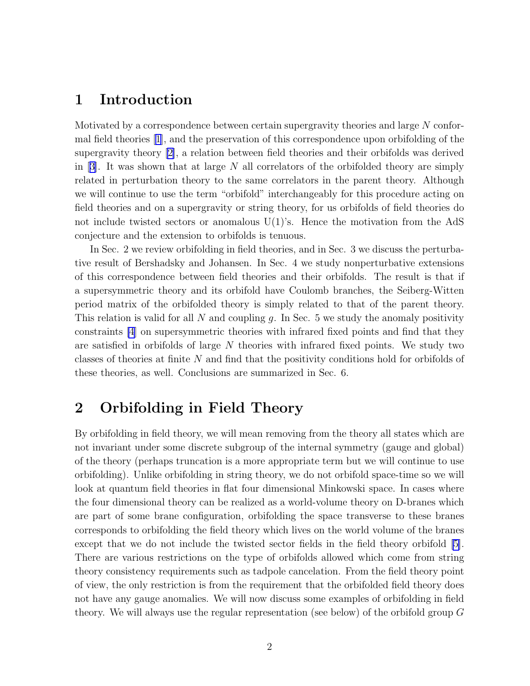## 1 Introduction

Motivated by a correspondence between certain supergravity theories and large N conformal field theories[[1\]](#page-16-0), and the preservation of this correspondence upon orbifolding of the supergravity theory[[2\]](#page-16-0), a relation between field theories and their orbifolds was derived in[[3\]](#page-16-0). It was shown that at large N all correlators of the orbifolded theory are simply related in perturbation theory to the same correlators in the parent theory. Although we will continue to use the term "orbifold" interchangeably for this procedure acting on field theories and on a supergravity or string theory, for us orbifolds of field theories do not include twisted sectors or anomalous  $U(1)$ 's. Hence the motivation from the AdS conjecture and the extension to orbifolds is tenuous.

In Sec. 2 we review orbifolding in field theories, and in Sec. 3 we discuss the perturbative result of Bershadsky and Johansen. In Sec. 4 we study nonperturbative extensions of this correspondence between field theories and their orbifolds. The result is that if a supersymmetric theory and its orbifold have Coulomb branches, the Seiberg-Witten period matrix of the orbifolded theory is simply related to that of the parent theory. This relation is valid for all N and coupling g. In Sec. 5 we study the anomaly positivity constraints [\[4](#page-16-0)] on supersymmetric theories with infrared fixed points and find that they are satisfied in orbifolds of large  $N$  theories with infrared fixed points. We study two classes of theories at finite N and find that the positivity conditions hold for orbifolds of these theories, as well. Conclusions are summarized in Sec. 6.

## 2 Orbifolding in Field Theory

By orbifolding in field theory, we will mean removing from the theory all states which are not invariant under some discrete subgroup of the internal symmetry (gauge and global) of the theory (perhaps truncation is a more appropriate term but we will continue to use orbifolding). Unlike orbifolding in string theory, we do not orbifold space-time so we will look at quantum field theories in flat four dimensional Minkowski space. In cases where the four dimensional theory can be realized as a world-volume theory on D-branes which are part of some brane configuration, orbifolding the space transverse to these branes corresponds to orbifolding the field theory which lives on the world volume of the branes except that we do not include the twisted sector fields in the field theory orbifold [\[5\]](#page-17-0). There are various restrictions on the type of orbifolds allowed which come from string theory consistency requirements such as tadpole cancelation. From the field theory point of view, the only restriction is from the requirement that the orbifolded field theory does not have any gauge anomalies. We will now discuss some examples of orbifolding in field theory. We will always use the regular representation (see below) of the orbifold group G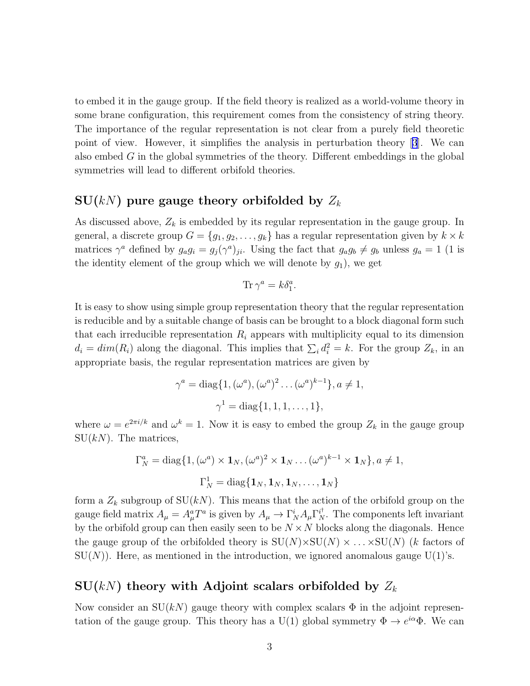to embed it in the gauge group. If the field theory is realized as a world-volume theory in some brane configuration, this requirement comes from the consistency of string theory. The importance of the regular representation is not clear from a purely field theoretic point of view. However, it simplifies the analysis in perturbation theory[[3](#page-16-0)]. We can also embed  $G$  in the global symmetries of the theory. Different embeddings in the global symmetries will lead to different orbifold theories.

#### $SU(k)$  pure gauge theory orbifolded by  $Z_k$

As discussed above,  $Z_k$  is embedded by its regular representation in the gauge group. In general, a discrete group  $G = \{g_1, g_2, \ldots, g_k\}$  has a regular representation given by  $k \times k$ matrices  $\gamma^a$  defined by  $g_a g_i = g_j(\gamma^a)_{ji}$ . Using the fact that  $g_a g_b \neq g_b$  unless  $g_a = 1$  (1 is the identity element of the group which we will denote by  $g_1$ ), we get

$$
\text{Tr}\,\gamma^a=k\delta_1^a.
$$

It is easy to show using simple group representation theory that the regular representation is reducible and by a suitable change of basis can be brought to a block diagonal form such that each irreducible representation  $R_i$  appears with multiplicity equal to its dimension  $d_i = dim(R_i)$  along the diagonal. This implies that  $\sum_i d_i^2 = k$ . For the group  $Z_k$ , in an appropriate basis, the regular representation matrices are given by

$$
\gamma^{a} = \text{diag}\{1, (\omega^{a}), (\omega^{a})^{2} \dots (\omega^{a})^{k-1}\}, a \neq 1, \n\gamma^{1} = \text{diag}\{1, 1, 1, \dots, 1\},
$$

where  $\omega = e^{2\pi i/k}$  and  $\omega^k = 1$ . Now it is easy to embed the group  $Z_k$  in the gauge group  $SU(kN)$ . The matrices,

$$
\Gamma_N^a = \text{diag}\{1, (\omega^a) \times \mathbf{1}_N, (\omega^a)^2 \times \mathbf{1}_N \dots (\omega^a)^{k-1} \times \mathbf{1}_N\}, a \neq 1,
$$
  

$$
\Gamma_N^1 = \text{diag}\{\mathbf{1}_N, \mathbf{1}_N, \mathbf{1}_N, \dots, \mathbf{1}_N\}
$$

form a  $Z_k$  subgroup of  $SU(kN)$ . This means that the action of the orbifold group on the gauge field matrix  $A_\mu = A_\mu^a T^a$  is given by  $A_\mu \to \Gamma_N^i A_\mu \Gamma_N^{i^\dagger}$ . The components left invariant by the orbifold group can then easily seen to be  $N \times N$  blocks along the diagonals. Hence the gauge group of the orbifolded theory is  $SU(N) \times SU(N) \times SU(N)$  (k factors of  $SU(N)$ ). Here, as mentioned in the introduction, we ignored anomalous gauge  $U(1)$ 's.

#### $SU(k)$  theory with Adjoint scalars orbifolded by  $Z_k$

Now consider an  $SU(k)$  gauge theory with complex scalars  $\Phi$  in the adjoint representation of the gauge group. This theory has a U(1) global symmetry  $\Phi \to e^{i\alpha} \Phi$ . We can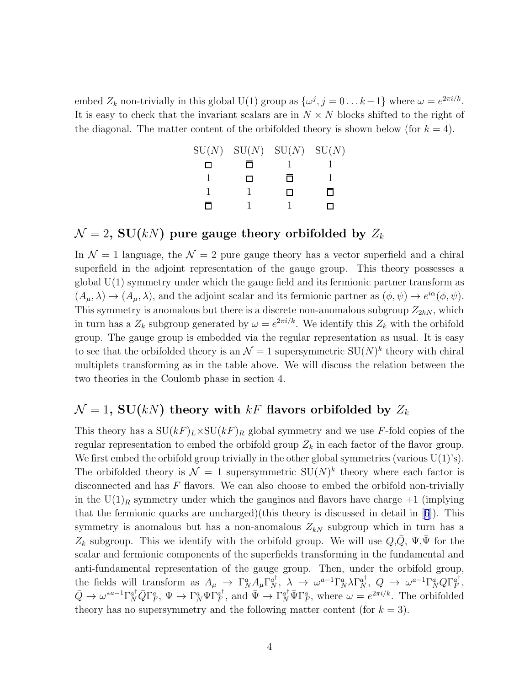embed  $Z_k$  non-trivially in this global U(1) group as  $\{\omega^j, j = 0 \dots k-1\}$  where  $\omega = e^{2\pi i/k}$ . It is easy to check that the invariant scalars are in  $N \times N$  blocks shifted to the right of the diagonal. The matter content of the orbifolded theory is shown below (for  $k = 4$ ).

| SU(N) |     | $SU(N)$ $SU(N)$ | SU(N) |
|-------|-----|-----------------|-------|
|       |     |                 |       |
|       | l 1 | П               |       |
|       |     | $\mathbf{I}$    | п     |
|       |     |                 |       |

#### $\mathcal{N} = 2$ , SU(kN) pure gauge theory orbifolded by  $Z_k$

In  $\mathcal{N} = 1$  language, the  $\mathcal{N} = 2$  pure gauge theory has a vector superfield and a chiral superfield in the adjoint representation of the gauge group. This theory possesses a global  $U(1)$  symmetry under which the gauge field and its fermionic partner transform as  $(A_{\mu}, \lambda) \to (A_{\mu}, \lambda)$ , and the adjoint scalar and its fermionic partner as  $(\phi, \psi) \to e^{i\alpha}(\phi, \psi)$ . This symmetry is anomalous but there is a discrete non-anomalous subgroup  $Z_{2kN}$ , which in turn has a  $Z_k$  subgroup generated by  $\omega = e^{2\pi i/k}$ . We identify this  $Z_k$  with the orbifold group. The gauge group is embedded via the regular representation as usual. It is easy to see that the orbifolded theory is an  $\mathcal{N}=1$  supersymmetric  $SU(N)^k$  theory with chiral multiplets transforming as in the table above. We will discuss the relation between the two theories in the Coulomb phase in section 4.

#### $\mathcal{N} = 1$ , SU(kN) theory with kF flavors orbifolded by  $Z_k$

This theory has a  $SU(kF)_L \times SU(kF)_R$  global symmetry and we use F-fold copies of the regular representation to embed the orbifold group  $Z_k$  in each factor of the flavor group. We first embed the orbifold group trivially in the other global symmetries (various  $U(1)$ 's). The orbifolded theory is  $\mathcal{N} = 1$  supersymmetric  $SU(N)^k$  theory where each factor is disconnected and has F flavors. We can also choose to embed the orbifold non-trivially in the  $U(1)<sub>R</sub>$  symmetry under which the gauginos and flavors have charge  $+1$  (implying thatthe fermionic quarks are uncharged)(this theory is discussed in detail in  $[6]$  $[6]$  $[6]$ ). This symmetry is anomalous but has a non-anomalous  $Z_{kN}$  subgroup which in turn has a  $Z_k$  subgroup. This we identify with the orbifold group. We will use  $Q, \overline{Q}, \Psi, \overline{\Psi}$  for the scalar and fermionic components of the superfields transforming in the fundamental and anti-fundamental representation of the gauge group. Then, under the orbifold group, the fields will transform as  $A_\mu \to \Gamma^a_N A_\mu \Gamma^{a\dagger}_N$ ,  $\lambda \to \omega^{a-1} \Gamma^a_N \lambda \Gamma^{a\dagger}_N$ ,  $Q \to \omega^{a-1} \Gamma^a_N Q \Gamma^{a\dagger}_F$  $_{F}^{a+}$  $\bar{Q} \to \omega^{*a-1} \Gamma_N^{a\dagger} \bar{Q} \Gamma_F^a, \ \Psi \to \Gamma_N^a \Psi \Gamma_F^{a\dagger}$  $q_F^{\dagger}$ , and  $\bar{\Psi} \to \Gamma_N^{a^{\dagger}} \bar{\Psi} \Gamma_F^a$ , where  $\omega = e^{2\pi i/k}$ . The orbifolded theory has no supersymmetry and the following matter content (for  $k = 3$ ).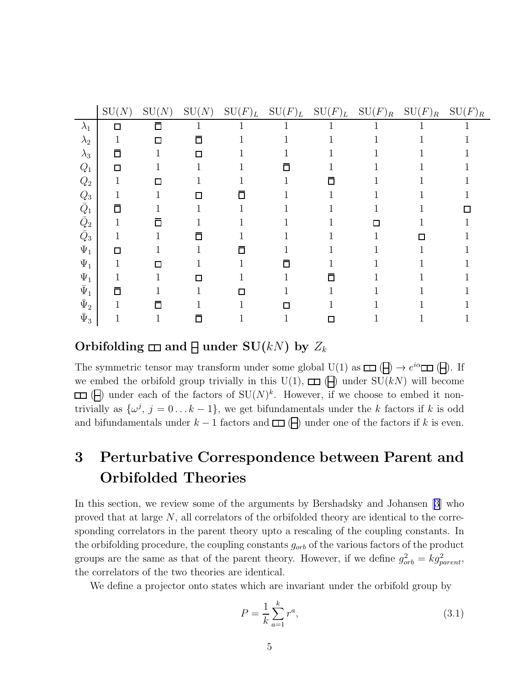|                | SU(N) | SU(N)                       | SU(N) | $\mathrm{SU}(F)_L$ | $\mathrm{SU}(F)_L$ | $\mathrm{SU}(F)_L$ | $\mathrm{SU}(F)_R$ | $\mathrm{SU}(F)_R$ | $\mathrm{SU}(F)_R$ |
|----------------|-------|-----------------------------|-------|--------------------|--------------------|--------------------|--------------------|--------------------|--------------------|
| $\lambda_1$    | 口     | Π                           |       |                    |                    |                    |                    |                    |                    |
| $\lambda_2$    |       | $\Box$                      | 口     |                    |                    |                    |                    |                    |                    |
| $\lambda_3$    | 亘     |                             | П     |                    |                    |                    |                    |                    |                    |
| $Q_1$          | П     |                             |       |                    |                    |                    |                    |                    |                    |
| $Q_2$          |       |                             |       |                    |                    | Π                  |                    |                    |                    |
| $Q_3$          |       |                             | J.    |                    |                    |                    |                    |                    |                    |
| $\bar{Q}_1$    | П     |                             |       |                    |                    |                    |                    |                    |                    |
| $\bar{Q}_2$    |       | Π                           |       |                    |                    |                    |                    |                    |                    |
| $\bar{Q}_3$    | 1     |                             | Π     |                    |                    |                    |                    | П                  |                    |
| $\Psi_1$       | П     |                             |       |                    |                    |                    |                    |                    |                    |
| $\Psi_1$       |       | $\mathcal{L}_{\mathcal{A}}$ |       |                    | Π                  |                    |                    |                    |                    |
| $\Psi_1$       |       |                             | П     |                    |                    | Π                  |                    |                    |                    |
| $\bar{\Psi}_1$ | П     |                             |       |                    |                    |                    |                    |                    |                    |
| $\bar{\Psi}_2$ |       |                             |       |                    |                    |                    |                    |                    |                    |
| $\bar{\Psi}_3$ |       |                             | Π     |                    |                    | $\Box$             |                    |                    |                    |

Orbifolding  $\Box$  and  $\P$  under SU(kN) by  $Z_k$ 

The symmetric tensor may transform under some global  $\underline{U}(1)$  as  $\Box$   $(\Box) \rightarrow e^{i\alpha} \Box$  ( $\Box$ ). If we embed the orbifold group trivially in this U(1),  $\Box$  ( $\Box$ ) under SU(kN) will become  $(\Box)$  under each of the factors of  $SU(N)^k$ . However, if we choose to embed it nontrivially as  $\{\omega^j, j = 0 \dots k-1\}$ , we get bifundamentals under the k factors if k is odd and bifundamentals under  $k - 1$  factors and  $\Box$  ( $\Box$ ) under one of the factors if k is even.

# 3 Perturbative Correspondence between Parent and Orbifolded Theories

In this section, we review some of the arguments by Bershadsky and Johansen [\[3\]](#page-16-0) who proved that at large N, all correlators of the orbifolded theory are identical to the corresponding correlators in the parent theory upto a rescaling of the coupling constants. In the orbifolding procedure, the coupling constants  $g_{orb}$  of the various factors of the product groups are the same as that of the parent theory. However, if we define  $g_{orb}^2 = k g_{parent}^2$ , the correlators of the two theories are identical.

We define a projector onto states which are invariant under the orbifold group by

$$
P = \frac{1}{k} \sum_{a=1}^{k} r^a,
$$
\n(3.1)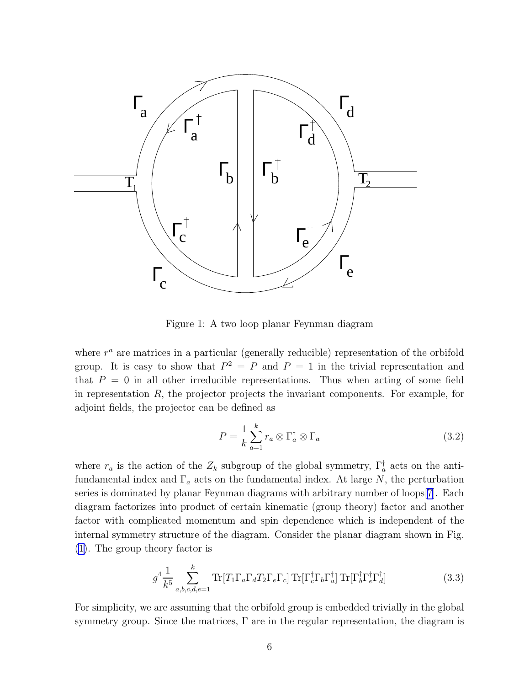<span id="page-5-0"></span>

Figure 1: A two loop planar Feynman diagram

where  $r^a$  are matrices in a particular (generally reducible) representation of the orbifold group. It is easy to show that  $P^2 = P$  and  $P = 1$  in the trivial representation and that  $P = 0$  in all other irreducible representations. Thus when acting of some field in representation  $R$ , the projector projects the invariant components. For example, for adjoint fields, the projector can be defined as

$$
P = \frac{1}{k} \sum_{a=1}^{k} r_a \otimes \Gamma_a^{\dagger} \otimes \Gamma_a \tag{3.2}
$$

where  $r_a$  is the action of the  $Z_k$  subgroup of the global symmetry,  $\Gamma_a^{\dagger}$  acts on the antifundamental index and  $\Gamma_a$  acts on the fundamental index. At large N, the perturbation series is dominated by planar Feynman diagrams with arbitrary number of loops[[7\]](#page-17-0). Each diagram factorizes into product of certain kinematic (group theory) factor and another factor with complicated momentum and spin dependence which is independent of the internal symmetry structure of the diagram. Consider the planar diagram shown in Fig. (1). The group theory factor is

$$
g^4 \frac{1}{k^5} \sum_{a,b,c,d,e=1}^k \text{Tr}[T_1 \Gamma_a \Gamma_d T_2 \Gamma_e \Gamma_c] \text{Tr}[\Gamma_c^\dagger \Gamma_b \Gamma_a^\dagger] \text{Tr}[\Gamma_b^\dagger \Gamma_c^\dagger \Gamma_d^\dagger] \tag{3.3}
$$

For simplicity, we are assuming that the orbifold group is embedded trivially in the global symmetry group. Since the matrices,  $\Gamma$  are in the regular representation, the diagram is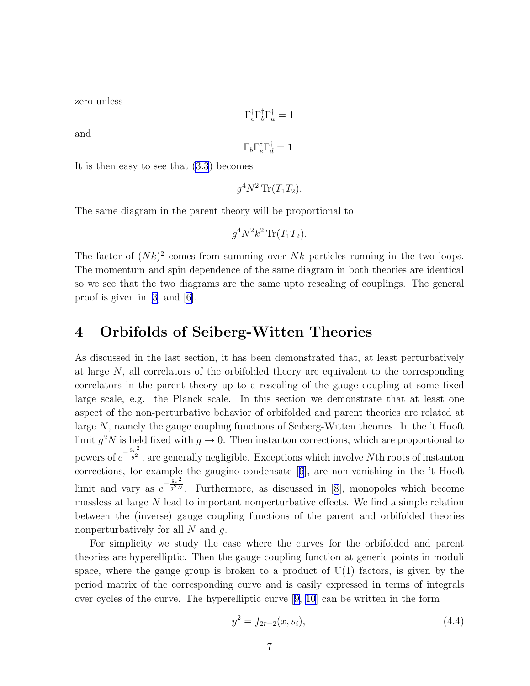<span id="page-6-0"></span>zero unless

$$
\Gamma_c^{\dagger} \Gamma_b^{\dagger} \Gamma_a^{\dagger} = 1
$$

and

$$
\Gamma_b \Gamma_c^{\dagger} \Gamma_d^{\dagger} = 1.
$$

It is then easy to see that [\(3.3](#page-5-0)) becomes

$$
g^4 N^2 \operatorname{Tr}(T_1 T_2).
$$

The same diagram in the parent theory will be proportional to

$$
g^4N^2k^2\operatorname{Tr}(T_1T_2).
$$

The factor of  $(Nk)^2$  comes from summing over Nk particles running in the two loops. The momentum and spin dependence of the same diagram in both theories are identical so we see that the two diagrams are the same upto rescaling of couplings. The general proof is given in [\[3](#page-16-0)] and [\[6](#page-17-0)].

## 4 Orbifolds of Seiberg-Witten Theories

As discussed in the last section, it has been demonstrated that, at least perturbatively at large N, all correlators of the orbifolded theory are equivalent to the corresponding correlators in the parent theory up to a rescaling of the gauge coupling at some fixed large scale, e.g. the Planck scale. In this section we demonstrate that at least one aspect of the non-perturbative behavior of orbifolded and parent theories are related at large N, namely the gauge coupling functions of Seiberg-Witten theories. In the 't Hooft limit  $g^2 N$  is held fixed with  $g \to 0$ . Then instanton corrections, which are proportional to powers of  $e^{-\frac{8\pi^2}{g^2}}$  $\frac{g^{2}}{g^{2}}$ , are generally negligible. Exceptions which involve Nth roots of instanton corrections, for example the gaugino condensate[[6](#page-17-0)], are non-vanishing in the 't Hooft limit and vary as  $e^{-\frac{8\pi^2}{g^2 N}}$  $\overline{g^{2}N}$ .Furthermore, as discussed in [[8\]](#page-17-0), monopoles which become massless at large N lead to important nonperturbative effects. We find a simple relation between the (inverse) gauge coupling functions of the parent and orbifolded theories nonperturbatively for all  $N$  and  $q$ .

For simplicity we study the case where the curves for the orbifolded and parent theories are hyperelliptic. Then the gauge coupling function at generic points in moduli space, where the gauge group is broken to a product of  $U(1)$  factors, is given by the period matrix of the corresponding curve and is easily expressed in terms of integrals over cycles of the curve. The hyperelliptic curve [\[9, 10\]](#page-17-0) can be written in the form

$$
y^2 = f_{2r+2}(x, s_i),\tag{4.4}
$$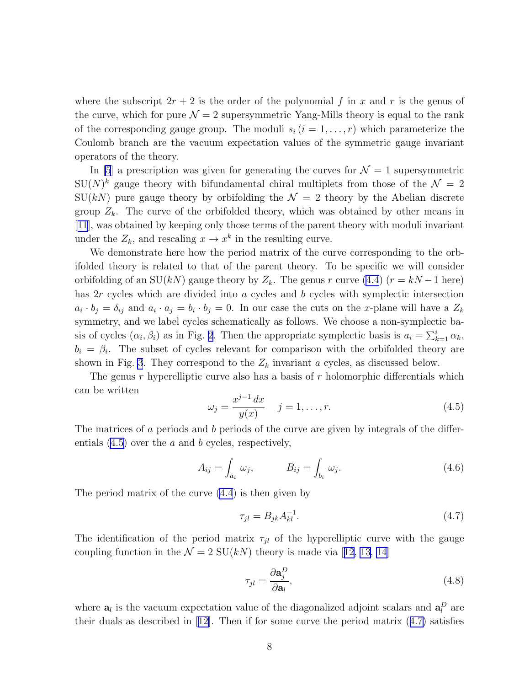<span id="page-7-0"></span>where the subscript  $2r + 2$  is the order of the polynomial f in x and r is the genus of the curve, which for pure  $\mathcal{N} = 2$  supersymmetric Yang-Mills theory is equal to the rank of the corresponding gauge group. The moduli  $s_i$   $(i = 1, \ldots, r)$  which parameterize the Coulomb branch are the vacuum expectation values of the symmetric gauge invariant operators of the theory.

In [\[5](#page-17-0)] a prescription was given for generating the curves for  $\mathcal{N}=1$  supersymmetric  $SU(N)^k$  gauge theory with bifundamental chiral multiplets from those of the  $\mathcal{N}=2$  $SU(kN)$  pure gauge theory by orbifolding the  $\mathcal{N}=2$  theory by the Abelian discrete group  $Z_k$ . The curve of the orbifolded theory, which was obtained by other means in [[11](#page-17-0)], was obtained by keeping only those terms of the parent theory with moduli invariant under the  $Z_k$ , and rescaling  $x \to x^k$  in the resulting curve.

We demonstrate here how the period matrix of the curve corresponding to the orbifolded theory is related to that of the parent theory. To be specific we will consider orbifolding of an SU(kN) gauge theory by  $Z_k$ . The genus r curve [\(4.4](#page-6-0)) (r = kN – 1 here) has 2r cycles which are divided into a cycles and b cycles with symplectic intersection  $a_i \cdot b_j = \delta_{ij}$  and  $a_i \cdot a_j = b_i \cdot b_j = 0$ . In our case the cuts on the x-plane will have a  $Z_k$ symmetry, and we label cycles schematically as follows. We choose a non-symplectic basis of cycles  $(\alpha_i, \beta_i)$  as in Fig. [2](#page-8-0). Then the appropriate symplectic basis is  $a_i = \sum_{k=1}^i \alpha_k$ ,  $b_i = \beta_i$ . The subset of cycles relevant for comparison with the orbifolded theory are shown in Fig. [3](#page-9-0). They correspond to the  $Z_k$  invariant a cycles, as discussed below.

The genus  $r$  hyperelliptic curve also has a basis of  $r$  holomorphic differentials which can be written

$$
\omega_j = \frac{x^{j-1} \, dx}{y(x)} \quad j = 1, \dots, r. \tag{4.5}
$$

The matrices of a periods and b periods of the curve are given by integrals of the differentials  $(4.5)$  over the a and b cycles, respectively,

$$
A_{ij} = \int_{a_i} \omega_j, \qquad B_{ij} = \int_{b_i} \omega_j.
$$
 (4.6)

The period matrix of the curve [\(4.4](#page-6-0)) is then given by

$$
\tau_{jl} = B_{jk} A_{kl}^{-1}.
$$
\n(4.7)

The identification of the period matrix  $\tau_{il}$  of the hyperelliptic curve with the gauge couplingfunction in the  $\mathcal{N} = 2$  SU(kN) theory is made via [[12](#page-17-0), [13](#page-17-0), [14](#page-17-0)]

$$
\tau_{jl} = \frac{\partial \mathbf{a}_j^D}{\partial \mathbf{a}_l},\tag{4.8}
$$

where  $a_l$  is the vacuum expectation value of the diagonalized adjoint scalars and  $a_l^D$  are their duals as described in [\[12\]](#page-17-0). Then if for some curve the period matrix (4.7) satisfies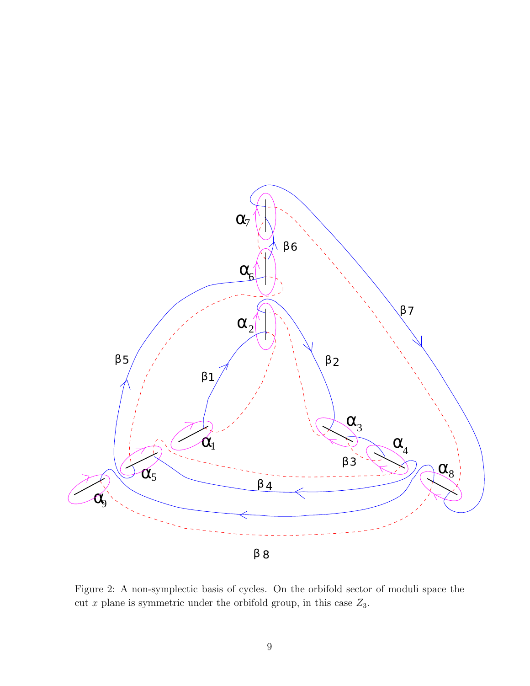<span id="page-8-0"></span>

Figure 2: A non-symplectic basis of cycles. On the orbifold sector of moduli space the cut x plane is symmetric under the orbifold group, in this case  $Z_3$ .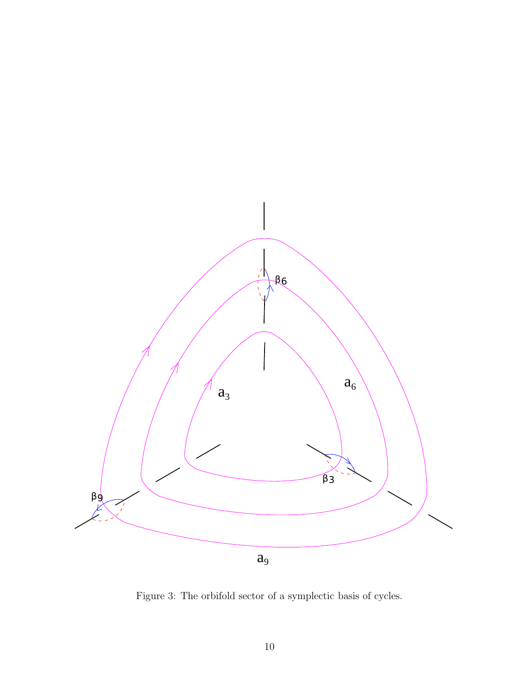<span id="page-9-0"></span>

Figure 3: The orbifold sector of a symplectic basis of cycles.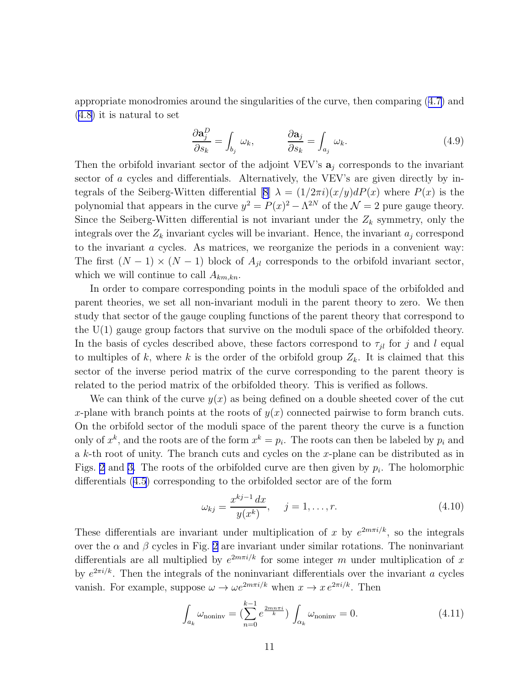appropriate monodromies around the singularities of the curve, then comparing([4.7\)](#page-7-0) and ([4.8\)](#page-7-0) it is natural to set

$$
\frac{\partial \mathbf{a}_j^D}{\partial s_k} = \int_{b_j} \omega_k, \qquad \frac{\partial \mathbf{a}_j}{\partial s_k} = \int_{a_j} \omega_k. \tag{4.9}
$$

Then the orbifold invariant sector of the adjoint VEV's  $a_j$  corresponds to the invariant sector of a cycles and differentials. Alternatively, the VEV's are given directly by in-tegrals of the Seiberg-Witten differential [\[8\]](#page-17-0)  $\lambda = (1/2\pi i)(x/y) dP(x)$  where  $P(x)$  is the polynomial that appears in the curve  $y^2 = P(x)^2 - \Lambda^{2N}$  of the  $\mathcal{N} = 2$  pure gauge theory. Since the Seiberg-Witten differential is not invariant under the  $Z_k$  symmetry, only the integrals over the  $Z_k$  invariant cycles will be invariant. Hence, the invariant  $a_j$  correspond to the invariant a cycles. As matrices, we reorganize the periods in a convenient way: The first  $(N-1) \times (N-1)$  block of  $A_{jl}$  corresponds to the orbifold invariant sector, which we will continue to call  $A_{km,kn}$ .

In order to compare corresponding points in the moduli space of the orbifolded and parent theories, we set all non-invariant moduli in the parent theory to zero. We then study that sector of the gauge coupling functions of the parent theory that correspond to the U(1) gauge group factors that survive on the moduli space of the orbifolded theory. In the basis of cycles described above, these factors correspond to  $\tau_{jl}$  for j and l equal to multiples of k, where k is the order of the orbifold group  $Z_k$ . It is claimed that this sector of the inverse period matrix of the curve corresponding to the parent theory is related to the period matrix of the orbifolded theory. This is verified as follows.

We can think of the curve  $y(x)$  as being defined on a double sheeted cover of the cut x-plane with branch points at the roots of  $y(x)$  connected pairwise to form branch cuts. On the orbifold sector of the moduli space of the parent theory the curve is a function only of  $x^k$ , and the roots are of the form  $x^k = p_i$ . The roots can then be labeled by  $p_i$  and a  $k$ -th root of unity. The branch cuts and cycles on the x-plane can be distributed as in Figs. [2](#page-8-0) and [3.](#page-9-0) The roots of the orbifolded curve are then given by  $p_i$ . The holomorphic differentials [\(4.5](#page-7-0)) corresponding to the orbifolded sector are of the form

$$
\omega_{kj} = \frac{x^{kj-1} dx}{y(x^k)}, \quad j = 1, \dots, r.
$$
\n(4.10)

These differentials are invariant under multiplication of x by  $e^{2m\pi i/k}$ , so the integrals over the  $\alpha$  and  $\beta$  cycles in Fig. [2](#page-8-0) are invariant under similar rotations. The noninvariant differentials are all multiplied by  $e^{2m\pi i/k}$  for some integer m under multiplication of x by  $e^{2\pi i/k}$ . Then the integrals of the noninvariant differentials over the invariant a cycles vanish. For example, suppose  $\omega \to \omega e^{2m\pi i/k}$  when  $x \to x e^{2\pi i/k}$ . Then

$$
\int_{a_k} \omega_{\text{noninv}} = \left(\sum_{n=0}^{k-1} e^{\frac{2mn\pi i}{k}}\right) \int_{\alpha_k} \omega_{\text{noninv}} = 0. \tag{4.11}
$$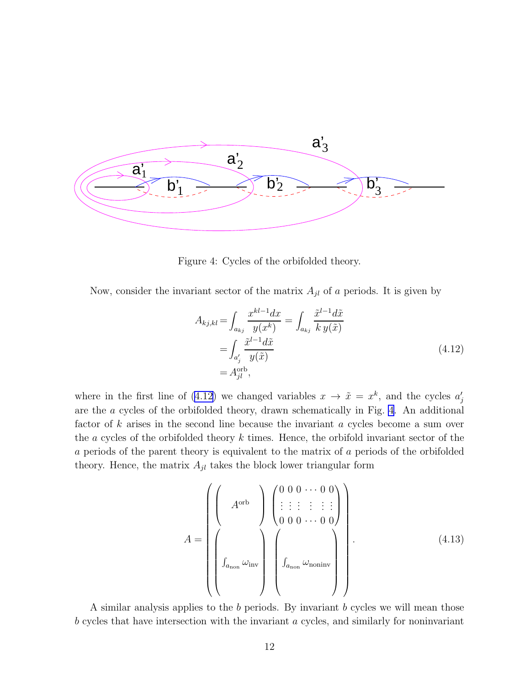<span id="page-11-0"></span>

Figure 4: Cycles of the orbifolded theory.

Now, consider the invariant sector of the matrix  $A_{jl}$  of a periods. It is given by

$$
A_{kj,kl} = \int_{a_{kj}} \frac{x^{kl-1}dx}{y(x^k)} = \int_{a_{kj}} \frac{\tilde{x}^{l-1}d\tilde{x}}{k y(\tilde{x})}
$$

$$
= \int_{a'_j} \frac{\tilde{x}^{l-1}d\tilde{x}}{y(\tilde{x})}
$$

$$
= A_{jl}^{\text{orb}}, \qquad (4.12)
$$

where in the first line of (4.12) we changed variables  $x \to \tilde{x} = x^k$ , and the cycles  $a'_j$ are the a cycles of the orbifolded theory, drawn schematically in Fig. 4. An additional factor of k arises in the second line because the invariant a cycles become a sum over the  $a$  cycles of the orbifolded theory  $k$  times. Hence, the orbifold invariant sector of the a periods of the parent theory is equivalent to the matrix of a periods of the orbifolded theory. Hence, the matrix  $A_{jl}$  takes the block lower triangular form

$$
A = \left(\begin{pmatrix} A^{\text{orb}} \\ A^{\text{orb}} \\ 0 & 0 & \cdots & 0 \end{pmatrix} \begin{pmatrix} 0 & 0 & \cdots & 0 & 0 \\ \vdots & \vdots & \vdots & \vdots & \vdots & \vdots \\ 0 & 0 & 0 & \cdots & 0 & 0 \end{pmatrix}\right).
$$
(4.13)

A similar analysis applies to the b periods. By invariant b cycles we will mean those b cycles that have intersection with the invariant a cycles, and similarly for noninvariant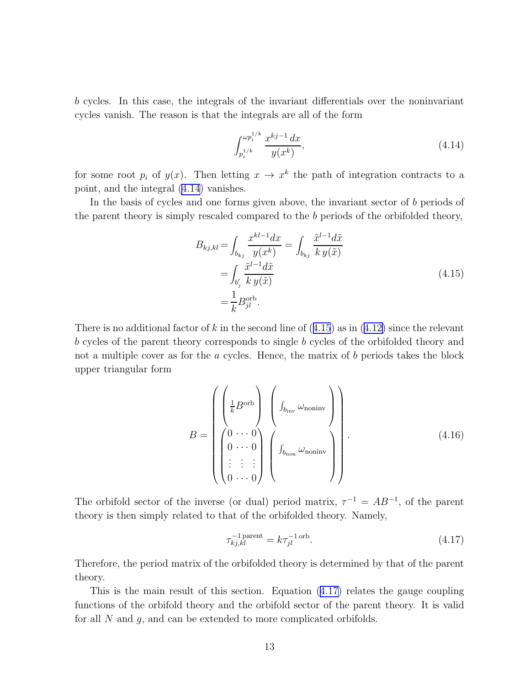b cycles. In this case, the integrals of the invariant differentials over the noninvariant cycles vanish. The reason is that the integrals are all of the form

$$
\int_{p_i^{1/k}}^{\omega p_i^{1/k}} \frac{x^{kj-1} dx}{y(x^k)},
$$
\n(4.14)

for some root  $p_i$  of  $y(x)$ . Then letting  $x \to x^k$  the path of integration contracts to a point, and the integral (4.14) vanishes.

In the basis of cycles and one forms given above, the invariant sector of b periods of the parent theory is simply rescaled compared to the  $b$  periods of the orbifolded theory,

$$
B_{kj,kl} = \int_{b_{kj}} \frac{x^{kl-1}dx}{y(x^k)} = \int_{b_{kj}} \frac{\tilde{x}^{l-1}d\tilde{x}}{k y(\tilde{x})}
$$

$$
= \int_{b'_j} \frac{\tilde{x}^{l-1}d\tilde{x}}{k y(\tilde{x})}
$$

$$
= \frac{1}{k} B_{jl}^{\text{orb}}.
$$
(4.15)

Thereis no additional factor of k in the second line of  $(4.15)$  as in  $(4.12)$  $(4.12)$  since the relevant b cycles of the parent theory corresponds to single b cycles of the orbifolded theory and not a multiple cover as for the a cycles. Hence, the matrix of b periods takes the block upper triangular form

$$
B = \begin{pmatrix} \begin{pmatrix} \frac{1}{k} B^{\text{orb}} \\ 0 \end{pmatrix} & \begin{pmatrix} \begin{pmatrix} \frac{1}{k} B^{\text{orb}} \\ \frac{1}{k} \end{pmatrix} \\ \begin{pmatrix} 0 & \cdots & 0 \\ 0 & \cdots & 0 \\ \vdots & \vdots & \vdots \\ 0 & \cdots & 0 \end{pmatrix} & \begin{pmatrix} \begin{pmatrix} \frac{1}{k} \\ \frac{1}{k} \end{pmatrix} & \cdots & 0 \end{pmatrix} \end{pmatrix} . \tag{4.16}
$$

The orbifold sector of the inverse (or dual) period matrix,  $\tau^{-1} = AB^{-1}$ , of the parent theory is then simply related to that of the orbifolded theory. Namely,

$$
\tau_{kj,kl}^{-1 \text{ parent}} = k \tau_{jl}^{-1 \text{ orb}}.
$$
\n(4.17)

Therefore, the period matrix of the orbifolded theory is determined by that of the parent theory.

This is the main result of this section. Equation (4.17) relates the gauge coupling functions of the orbifold theory and the orbifold sector of the parent theory. It is valid for all N and g, and can be extended to more complicated orbifolds.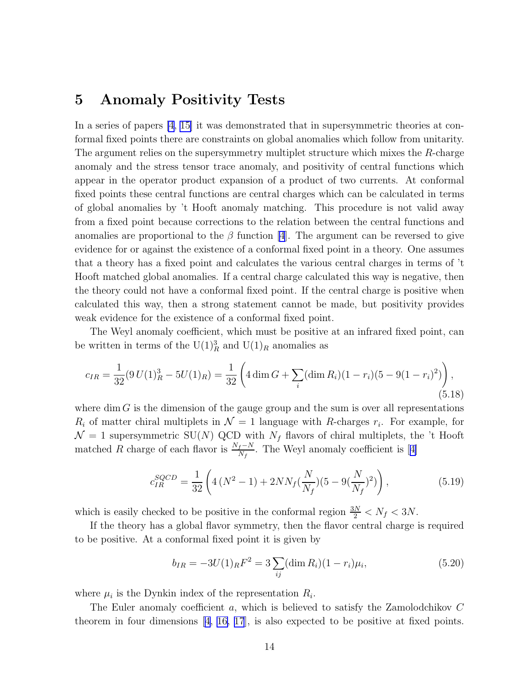## 5 Anomaly Positivity Tests

In a series of papers [\[4](#page-16-0), [15\]](#page-17-0) it was demonstrated that in supersymmetric theories at conformal fixed points there are constraints on global anomalies which follow from unitarity. The argument relies on the supersymmetry multiplet structure which mixes the R-charge anomaly and the stress tensor trace anomaly, and positivity of central functions which appear in the operator product expansion of a product of two currents. At conformal fixed points these central functions are central charges which can be calculated in terms of global anomalies by 't Hooft anomaly matching. This procedure is not valid away from a fixed point because corrections to the relation between the central functions and anomalies are proportional to the  $\beta$  function [\[4](#page-16-0)]. The argument can be reversed to give evidence for or against the existence of a conformal fixed point in a theory. One assumes that a theory has a fixed point and calculates the various central charges in terms of 't Hooft matched global anomalies. If a central charge calculated this way is negative, then the theory could not have a conformal fixed point. If the central charge is positive when calculated this way, then a strong statement cannot be made, but positivity provides weak evidence for the existence of a conformal fixed point.

The Weyl anomaly coefficient, which must be positive at an infrared fixed point, can be written in terms of the  $\mathrm{U}(1)_R^3$  and  $\mathrm{U}(1)_R$  anomalies as

$$
c_{IR} = \frac{1}{32} (9 U(1)_R^3 - 5 U(1)_R) = \frac{1}{32} \left( 4 \dim G + \sum_i (\dim R_i)(1 - r_i)(5 - 9(1 - r_i)^2) \right),\tag{5.18}
$$

where dim  $G$  is the dimension of the gauge group and the sum is over all representations  $R_i$  of matter chiral multiplets in  $\mathcal{N}=1$  language with R-charges  $r_i$ . For example, for  $\mathcal{N}=1$  supersymmetric SU(N) QCD with  $N_f$  flavors of chiral multiplets, the 't Hooft matchedR charge of each flavor is  $\frac{N_f-N}{N_f}$ . The Weyl anomaly coefficient is [[4\]](#page-16-0)

$$
c_{IR}^{SQCD} = \frac{1}{32} \left( 4 \left( N^2 - 1 \right) + 2 N N_f \left( \frac{N}{N_f} \right) (5 - 9 \left( \frac{N}{N_f} \right)^2) \right), \tag{5.19}
$$

which is easily checked to be positive in the conformal region  $\frac{3N}{2} < N_f < 3N$ .

If the theory has a global flavor symmetry, then the flavor central charge is required to be positive. At a conformal fixed point it is given by

$$
b_{IR} = -3U(1)_R F^2 = 3\sum_{ij} (\dim R_i)(1 - r_i)\mu_i,
$$
\n(5.20)

where  $\mu_i$  is the Dynkin index of the representation  $R_i$ .

The Euler anomaly coefficient a, which is believed to satisfy the Zamolodchikov C theorem in four dimensions [\[4,](#page-16-0) [16, 17](#page-17-0)], is also expected to be positive at fixed points.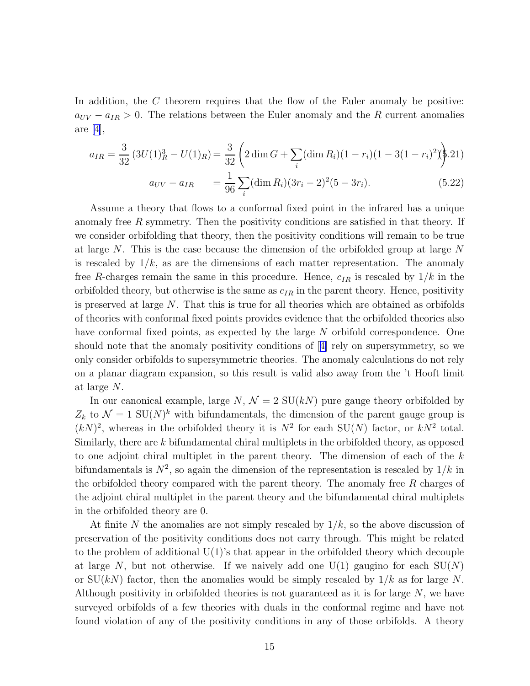In addition, the  $C$  theorem requires that the flow of the Euler anomaly be positive:  $a_{UV} - a_{IR} > 0$ . The relations between the Euler anomaly and the R current anomalies are [\[4\]](#page-16-0),

$$
a_{IR} = \frac{3}{32} \left( 3U(1)_R^3 - U(1)_R \right) = \frac{3}{32} \left( 2 \dim G + \sum_i (\dim R_i)(1 - r_i)(1 - 3(1 - r_i)^2) \right).
$$
  
\n
$$
a_{UV} - a_{IR} = \frac{1}{96} \sum_i (\dim R_i)(3r_i - 2)^2 (5 - 3r_i).
$$
\n(5.22)

Assume a theory that flows to a conformal fixed point in the infrared has a unique anomaly free  $R$  symmetry. Then the positivity conditions are satisfied in that theory. If we consider orbifolding that theory, then the positivity conditions will remain to be true at large N. This is the case because the dimension of the orbifolded group at large N is rescaled by  $1/k$ , as are the dimensions of each matter representation. The anomaly free R-charges remain the same in this procedure. Hence,  $c_{IR}$  is rescaled by  $1/k$  in the orbifolded theory, but otherwise is the same as  $c_{IR}$  in the parent theory. Hence, positivity is preserved at large N. That this is true for all theories which are obtained as orbifolds of theories with conformal fixed points provides evidence that the orbifolded theories also have conformal fixed points, as expected by the large N orbifold correspondence. One should note that the anomaly positivity conditions of[[4\]](#page-16-0) rely on supersymmetry, so we only consider orbifolds to supersymmetric theories. The anomaly calculations do not rely on a planar diagram expansion, so this result is valid also away from the 't Hooft limit at large N.

In our canonical example, large N,  $\mathcal{N} = 2 \text{ SU}(k)$  pure gauge theory orbifolded by  $Z_k$  to  $\mathcal{N} = 1$  SU(N)<sup>k</sup> with bifundamentals, the dimension of the parent gauge group is  $(kN)^2$ , whereas in the orbifolded theory it is  $N^2$  for each SU(N) factor, or  $kN^2$  total. Similarly, there are k bifundamental chiral multiplets in the orbifolded theory, as opposed to one adjoint chiral multiplet in the parent theory. The dimension of each of the  $k$ bifundamentals is  $N^2$ , so again the dimension of the representation is rescaled by  $1/k$  in the orbifolded theory compared with the parent theory. The anomaly free R charges of the adjoint chiral multiplet in the parent theory and the bifundamental chiral multiplets in the orbifolded theory are 0.

At finite N the anomalies are not simply rescaled by  $1/k$ , so the above discussion of preservation of the positivity conditions does not carry through. This might be related to the problem of additional  $U(1)$ 's that appear in the orbifolded theory which decouple at large N, but not otherwise. If we naively add one  $U(1)$  gaugino for each  $SU(N)$ or  $SU(kN)$  factor, then the anomalies would be simply rescaled by  $1/k$  as for large N. Although positivity in orbifolded theories is not guaranteed as it is for large  $N$ , we have surveyed orbifolds of a few theories with duals in the conformal regime and have not found violation of any of the positivity conditions in any of those orbifolds. A theory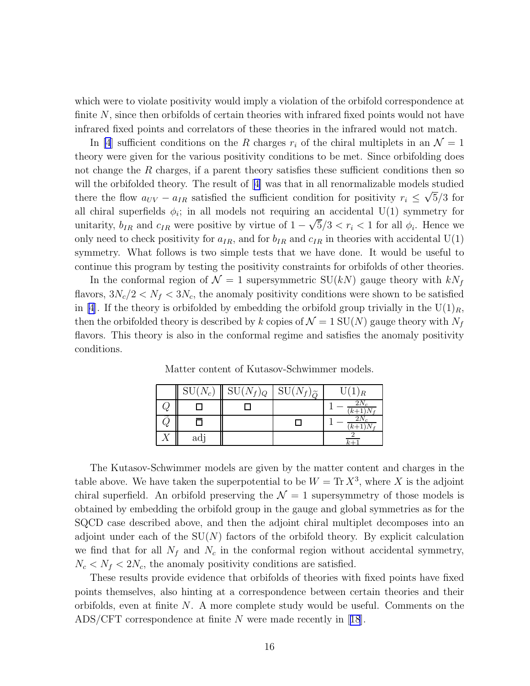which were to violate positivity would imply a violation of the orbifold correspondence at finite N, since then orbifolds of certain theories with infrared fixed points would not have infrared fixed points and correlators of these theories in the infrared would not match.

In [\[4](#page-16-0)] sufficient conditions on the R charges  $r_i$  of the chiral multiplets in an  $\mathcal{N} = 1$ theory were given for the various positivity conditions to be met. Since orbifolding does not change the  $R$  charges, if a parent theory satisfies these sufficient conditions then so willthe orbifolded theory. The result of  $|4|$  was that in all renormalizable models studied there the flow  $a_{UV} - a_{IR}$  satisfied the sufficient condition for positivity  $r_i \leq \sqrt{5}/3$  for all chiral superfields  $\phi_i$ ; in all models not requiring an accidental U(1) symmetry for unitarity,  $b_{IR}$  and  $c_{IR}$  were positive by virtue of  $1 - \sqrt{5}/3 < r_i < 1$  for all  $\phi_i$ . Hence we only need to check positivity for  $a_{IR}$ , and for  $b_{IR}$  and  $c_{IR}$  in theories with accidental U(1) symmetry. What follows is two simple tests that we have done. It would be useful to continue this program by testing the positivity constraints for orbifolds of other theories.

In the conformal region of  $\mathcal{N} = 1$  supersymmetric SU(kN) gauge theory with  $kN_f$ flavors,  $3N_c/2 < N_f < 3N_c$ , the anomaly positivity conditions were shown to be satisfied in [\[4\]](#page-16-0). If the theory is orbifolded by embedding the orbifold group trivially in the U(1)<sub>R</sub>, then the orbifolded theory is described by k copies of  $\mathcal{N} = 1$  SU(N) gauge theory with  $N_f$ flavors. This theory is also in the conformal regime and satisfies the anomaly positivity conditions.

|    | $SU(N_c)$ | $SU(N_f)_Q$ | $SU(N_f)$<br>$\tilde{O}$ | U(1)<br>) R        |
|----|-----------|-------------|--------------------------|--------------------|
| Y  |           |             |                          | 2N,<br>$(k+1)N$    |
| Q, |           |             |                          | $2N_c$<br>$(k+1)N$ |
|    | adj       |             |                          |                    |

Matter content of Kutasov-Schwimmer models.

The Kutasov-Schwimmer models are given by the matter content and charges in the table above. We have taken the superpotential to be  $W = \text{Tr } X^3$ , where X is the adjoint chiral superfield. An orbifold preserving the  $\mathcal{N}=1$  supersymmetry of those models is obtained by embedding the orbifold group in the gauge and global symmetries as for the SQCD case described above, and then the adjoint chiral multiplet decomposes into an adjoint under each of the  $SU(N)$  factors of the orbifold theory. By explicit calculation we find that for all  $N_f$  and  $N_c$  in the conformal region without accidental symmetry,  $N_c < N_f < 2N_c$ , the anomaly positivity conditions are satisfied.

These results provide evidence that orbifolds of theories with fixed points have fixed points themselves, also hinting at a correspondence between certain theories and their orbifolds, even at finite  $N$ . A more complete study would be useful. Comments on the ADS/CFT correspondence at finite N were made recently in[[18](#page-18-0)].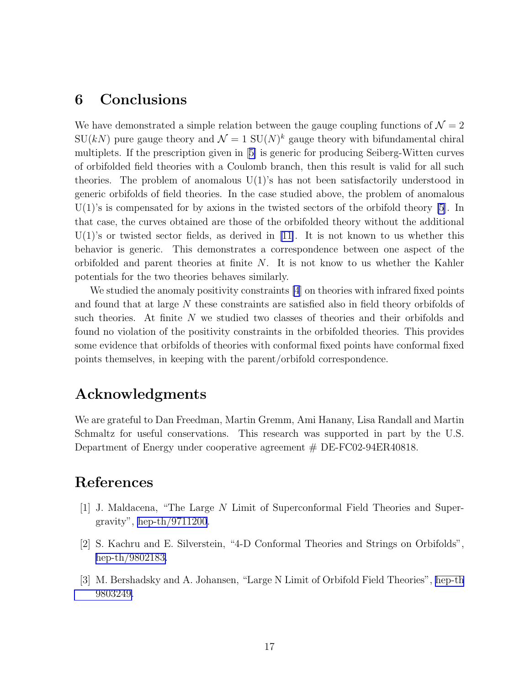## <span id="page-16-0"></span>6 Conclusions

We have demonstrated a simple relation between the gauge coupling functions of  $\mathcal{N} = 2$  $SU(kN)$  pure gauge theory and  $\mathcal{N}=1$   $SU(N)^k$  gauge theory with bifundamental chiral multiplets. If the prescription given in[[5\]](#page-17-0) is generic for producing Seiberg-Witten curves of orbifolded field theories with a Coulomb branch, then this result is valid for all such theories. The problem of anomalous  $U(1)$ 's has not been satisfactorily understood in generic orbifolds of field theories. In the case studied above, the problem of anomalous  $U(1)$ 's is compensated for by axions in the twisted sectors of the orbifold theory [\[5](#page-17-0)]. In that case, the curves obtained are those of the orbifolded theory without the additional  $U(1)$ 'sor twisted sector fields, as derived in [[11\]](#page-17-0). It is not known to us whether this behavior is generic. This demonstrates a correspondence between one aspect of the orbifolded and parent theories at finite N. It is not know to us whether the Kahler potentials for the two theories behaves similarly.

We studied the anomaly positivity constraints [4] on theories with infrared fixed points and found that at large N these constraints are satisfied also in field theory orbifolds of such theories. At finite N we studied two classes of theories and their orbifolds and found no violation of the positivity constraints in the orbifolded theories. This provides some evidence that orbifolds of theories with conformal fixed points have conformal fixed points themselves, in keeping with the parent/orbifold correspondence.

## Acknowledgments

We are grateful to Dan Freedman, Martin Gremm, Ami Hanany, Lisa Randall and Martin Schmaltz for useful conservations. This research was supported in part by the U.S. Department of Energy under cooperative agreement # DE-FC02-94ER40818.

## References

- [1] J. Maldacena, "The Large N Limit of Superconformal Field Theories and Supergravity", [hep-th/9711200](http://arxiv.org/abs/hep-th/9711200).
- [2] S. Kachru and E. Silverstein, "4-D Conformal Theories and Strings on Orbifolds", [hep-th/9802183.](http://arxiv.org/abs/hep-th/9802183)
- [3] M. Bershadsky and A. Johansen, "Large N Limit of Orbifold Field Theories", [hep-th](http://arxiv.org/abs/hep-th/9803249) [9803249.](http://arxiv.org/abs/hep-th/9803249)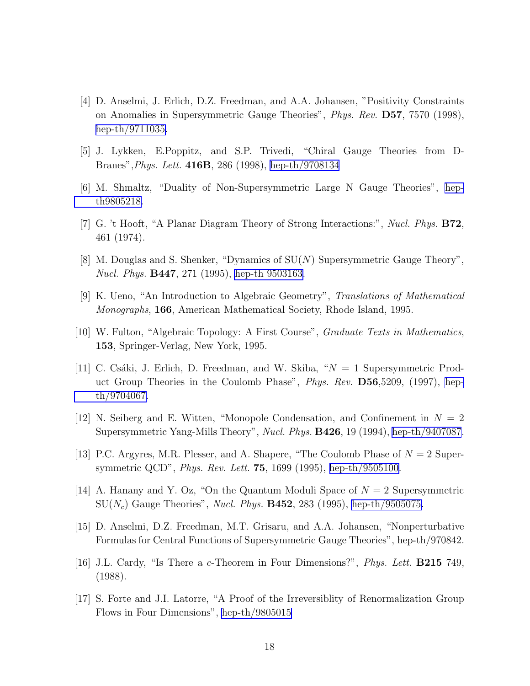- <span id="page-17-0"></span>[4] D. Anselmi, J. Erlich, D.Z. Freedman, and A.A. Johansen, "Positivity Constraints on Anomalies in Supersymmetric Gauge Theories", Phys. Rev. D57, 7570 (1998), [hep-th/9711035.](http://arxiv.org/abs/hep-th/9711035)
- [5] J. Lykken, E.Poppitz, and S.P. Trivedi, "Chiral Gauge Theories from D-Branes",Phys. Lett. 416B, 286 (1998), [hep-th/9708134](http://arxiv.org/abs/hep-th/9708134)
- [6] M. Shmaltz, "Duality of Non-Supersymmetric Large N Gauge Theories", [hep](http://arxiv.org/abs/hep-th/9805218)[th9805218.](http://arxiv.org/abs/hep-th/9805218)
- [7] G. 't Hooft, "A Planar Diagram Theory of Strong Interactions:", Nucl. Phys. B72, 461 (1974).
- [8] M. Douglas and S. Shenker, "Dynamics of SU(N) Supersymmetric Gauge Theory", Nucl. Phys. B447, 271 (1995), [hep-th 9503163.](http://arxiv.org/abs/hep-th/9503163)
- [9] K. Ueno, "An Introduction to Algebraic Geometry", Translations of Mathematical Monographs, 166, American Mathematical Society, Rhode Island, 1995.
- [10] W. Fulton, "Algebraic Topology: A First Course", Graduate Texts in Mathematics, 153, Springer-Verlag, New York, 1995.
- [11] C. Csáki, J. Erlich, D. Freedman, and W. Skiba, " $N = 1$  Supersymmetric Product Group Theories in the Coulomb Phase", Phys. Rev. D56,5209, (1997), [hep](http://arxiv.org/abs/hep-th/9704067)[th/9704067.](http://arxiv.org/abs/hep-th/9704067)
- [12] N. Seiberg and E. Witten, "Monopole Condensation, and Confinement in  $N = 2$ Supersymmetric Yang-Mills Theory", Nucl. Phys. **B426**, 19 (1994), [hep-th/9407087](http://arxiv.org/abs/hep-th/9407087).
- [13] P.C. Argyres, M.R. Plesser, and A. Shapere, "The Coulomb Phase of  $N = 2$  Supersymmetric QCD", *Phys. Rev. Lett.* **75**, 1699 (1995), [hep-th/9505100.](http://arxiv.org/abs/hep-th/9505100)
- [14] A. Hanany and Y. Oz, "On the Quantum Moduli Space of  $N = 2$  Supersymmetric  $SU(N_c)$  Gauge Theories", *Nucl. Phys.* **B452**, 283 (1995), [hep-th/9505075.](http://arxiv.org/abs/hep-th/9505075)
- [15] D. Anselmi, D.Z. Freedman, M.T. Grisaru, and A.A. Johansen, "Nonperturbative Formulas for Central Functions of Supersymmetric Gauge Theories", hep-th/970842.
- [16] J.L. Cardy, "Is There a c-Theorem in Four Dimensions?", Phys. Lett. B215 749, (1988).
- [17] S. Forte and J.I. Latorre, "A Proof of the Irreversiblity of Renormalization Group Flows in Four Dimensions", [hep-th/9805015](http://arxiv.org/abs/hep-th/9805015)